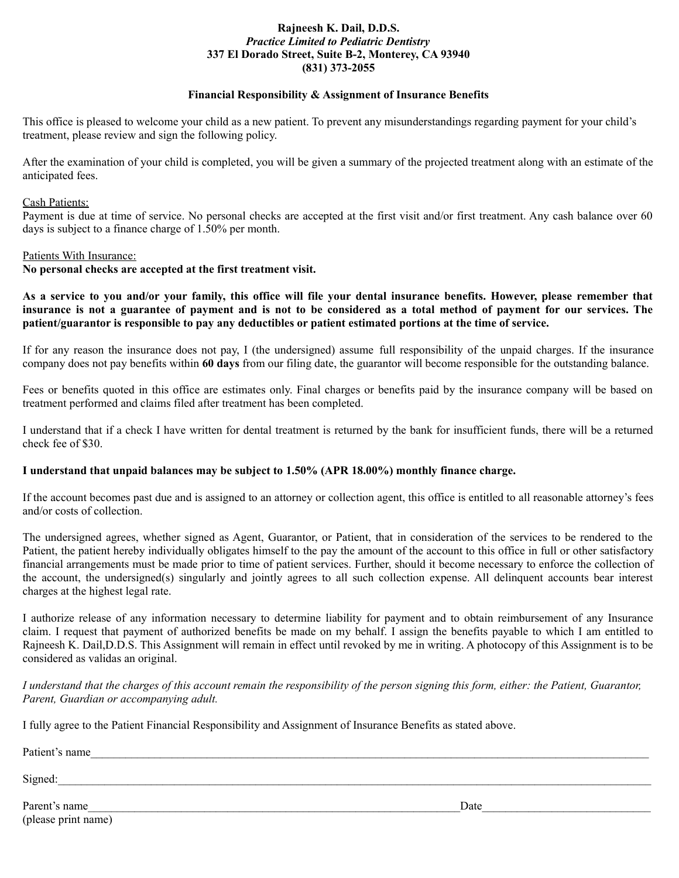## **Rajneesh K. Dail, D.D.S.** *Practice Limited to Pediatric Dentistry* **337 El Dorado Street, Suite B-2, Monterey, CA 93940 (831) 373-2055**

## **Financial Responsibility & Assignment of Insurance Benefits**

This office is pleased to welcome your child as a new patient. To prevent any misunderstandings regarding payment for your child's treatment, please review and sign the following policy.

After the examination of your child is completed, you will be given a summary of the projected treatment along with an estimate of the anticipated fees.

#### Cash Patients:

Payment is due at time of service. No personal checks are accepted at the first visit and/or first treatment. Any cash balance over 60 days is subject to a finance charge of 1.50% per month.

#### Patients With Insurance:

**No personal checks are accepted at the first treatment visit.**

**As a service to you and/or your family, this office will file your dental insurance benefits. However, please remember that insurance is not a guarantee of payment and is not to be considered as a total method of payment for our services. The patient/guarantor is responsible to pay any deductibles or patient estimated portions at the time of service.**

If for any reason the insurance does not pay, I (the undersigned) assume full responsibility of the unpaid charges. If the insurance company does not pay benefits within **60 days** from our filing date, the guarantor will become responsible for the outstanding balance.

Fees or benefits quoted in this office are estimates only. Final charges or benefits paid by the insurance company will be based on treatment performed and claims filed after treatment has been completed.

I understand that if a check I have written for dental treatment is returned by the bank for insufficient funds, there will be a returned check fee of \$30.

#### **I understand that unpaid balances may be subject to 1.50% (APR 18.00%) monthly finance charge.**

If the account becomes past due and is assigned to an attorney or collection agent, this office is entitled to all reasonable attorney's fees and/or costs of collection.

The undersigned agrees, whether signed as Agent, Guarantor, or Patient, that in consideration of the services to be rendered to the Patient, the patient hereby individually obligates himself to the pay the amount of the account to this office in full or other satisfactory financial arrangements must be made prior to time of patient services. Further, should it become necessary to enforce the collection of the account, the undersigned(s) singularly and jointly agrees to all such collection expense. All delinquent accounts bear interest charges at the highest legal rate.

I authorize release of any information necessary to determine liability for payment and to obtain reimbursement of any Insurance claim. I request that payment of authorized benefits be made on my behalf. I assign the benefits payable to which I am entitled to Rajneesh K. Dail,D.D.S. This Assignment will remain in effect until revoked by me in writing. A photocopy of this Assignment is to be considered as validas an original.

*I understand that the charges of this account remain the responsibility of the person signing this form, either: the Patient, Guarantor, Parent, Guardian or accompanying adult.*

I fully agree to the Patient Financial Responsibility and Assignment of Insurance Benefits as stated above.

Patient's name

 $Signed:$ 

Parent's name and the set of the set of the set of the set of the set of the set of the set of the set of the set of the set of the set of the set of the set of the set of the set of the set of the set of the set of the se (please print name)